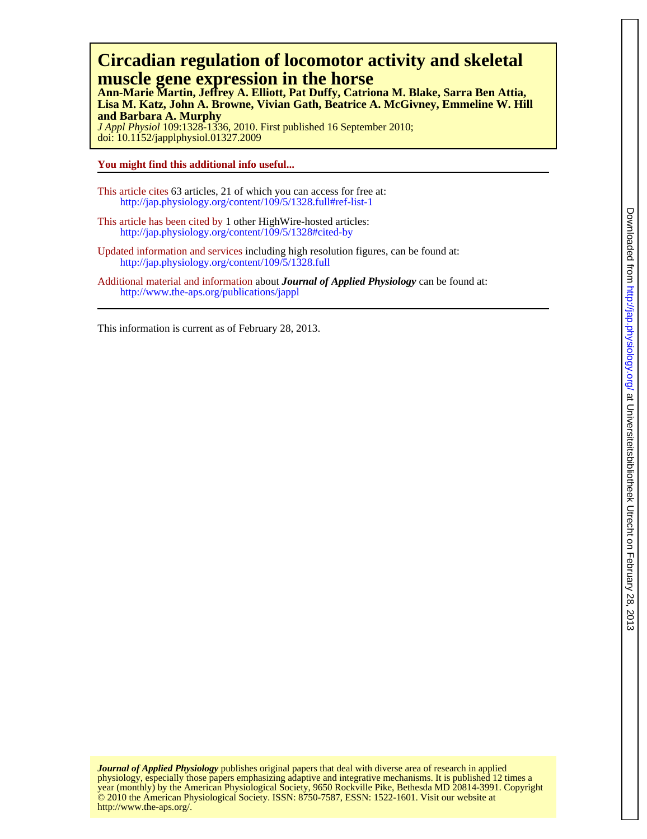# **muscle gene expression in the horse Circadian regulation of locomotor activity and skeletal**

**and Barbara A. Murphy Lisa M. Katz, John A. Browne, Vivian Gath, Beatrice A. McGivney, Emmeline W. Hill Ann-Marie Martin, Jeffrey A. Elliott, Pat Duffy, Catriona M. Blake, Sarra Ben Attia,**

doi: 10.1152/japplphysiol.01327.2009 *J Appl Physiol* 109:1328-1336, 2010. First published 16 September 2010;

**You might find this additional info useful...**

- This article cites 63 articles, 21 of which you can access for free at: http://jap.physiology.org/content/109/5/1328.full#ref-list-1
- This article has been cited by 1 other HighWire-hosted articles: <http://jap.physiology.org/content/109/5/1328#cited-by>
- Updated information and services including high resolution figures, can be found at: http://jap.physiology.org/content/109/5/1328.full

Additional material and information about *Journal of Applied Physiology* can be found at: http://www.the-aps.org/publications/jappl

This information is current as of February 28, 2013.

http://www.the-aps.org/. © 2010 the American Physiological Society. ISSN: 8750-7587, ESSN: 1522-1601. Visit our website at year (monthly) by the American Physiological Society, 9650 Rockville Pike, Bethesda MD 20814-3991. Copyright physiology, especially those papers emphasizing adaptive and integrative mechanisms. It is published 12 times a *Journal of Applied Physiology* publishes original papers that deal with diverse area of research in applied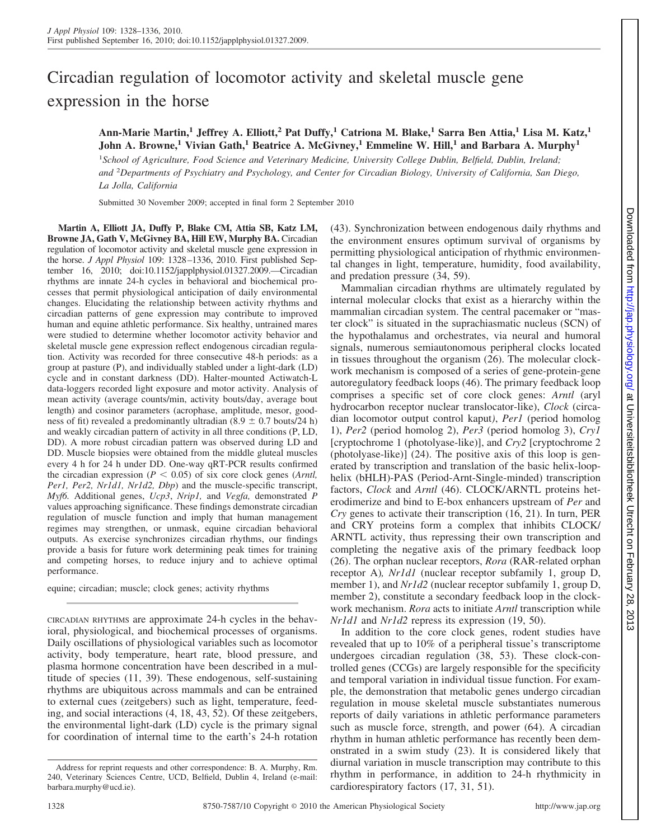# Circadian regulation of locomotor activity and skeletal muscle gene expression in the horse

**Ann-Marie Martin,<sup>1</sup> Jeffrey A. Elliott,<sup>2</sup> Pat Duffy,<sup>1</sup> Catriona M. Blake,<sup>1</sup> Sarra Ben Attia,<sup>1</sup> Lisa M. Katz,<sup>1</sup> John A. Browne,<sup>1</sup> Vivian Gath,<sup>1</sup> Beatrice A. McGivney,<sup>1</sup> Emmeline W. Hill,<sup>1</sup> and Barbara A. Murphy<sup>1</sup>**

<sup>1</sup>School of Agriculture, Food Science and Veterinary Medicine, University College Dublin, Belfield, Dublin, Ireland; *and* <sup>2</sup> *Departments of Psychiatry and Psychology, and Center for Circadian Biology, University of California, San Diego, La Jolla, California*

Submitted 30 November 2009; accepted in final form 2 September 2010

**Martin A, Elliott JA, Duffy P, Blake CM, Attia SB, Katz LM, Browne JA, Gath V, McGivney BA, Hill EW, Murphy BA.** Circadian regulation of locomotor activity and skeletal muscle gene expression in the horse. *J Appl Physiol* 109: 1328 –1336, 2010. First published September 16, 2010; doi:10.1152/japplphysiol.01327.2009.—Circadian rhythms are innate 24-h cycles in behavioral and biochemical processes that permit physiological anticipation of daily environmental changes. Elucidating the relationship between activity rhythms and circadian patterns of gene expression may contribute to improved human and equine athletic performance. Six healthy, untrained mares were studied to determine whether locomotor activity behavior and skeletal muscle gene expression reflect endogenous circadian regulation. Activity was recorded for three consecutive 48-h periods: as a group at pasture (P), and individually stabled under a light-dark (LD) cycle and in constant darkness (DD). Halter-mounted Actiwatch-L data-loggers recorded light exposure and motor activity. Analysis of mean activity (average counts/min, activity bouts/day, average bout length) and cosinor parameters (acrophase, amplitude, mesor, goodness of fit) revealed a predominantly ultradian  $(8.9 \pm 0.7$  bouts/24 h) and weakly circadian pattern of activity in all three conditions (P, LD, DD). A more robust circadian pattern was observed during LD and DD. Muscle biopsies were obtained from the middle gluteal muscles every 4 h for 24 h under DD. One-way qRT-PCR results confirmed the circadian expression ( $P < 0.05$ ) of six core clock genes (*Arntl*, *Per1, Per2, Nr1d1, Nr1d2, Dbp*) and the muscle-specific transcript, *Myf6.* Additional genes, *Ucp3*, *Nrip1,* and *Vegfa,* demonstrated *P* values approaching significance. These findings demonstrate circadian regulation of muscle function and imply that human management regimes may strengthen, or unmask, equine circadian behavioral outputs. As exercise synchronizes circadian rhythms, our findings provide a basis for future work determining peak times for training and competing horses, to reduce injury and to achieve optimal performance.

equine; circadian; muscle; clock genes; activity rhythms

CIRCADIAN RHYTHMS are approximate 24-h cycles in the behavioral, physiological, and biochemical processes of organisms. Daily oscillations of physiological variables such as locomotor activity, body temperature, heart rate, blood pressure, and plasma hormone concentration have been described in a multitude of species (11, 39). These endogenous, self-sustaining rhythms are ubiquitous across mammals and can be entrained to external cues (zeitgebers) such as light, temperature, feeding, and social interactions (4, 18, 43, 52). Of these zeitgebers, the environmental light-dark (LD) cycle is the primary signal for coordination of internal time to the earth's 24-h rotation (43). Synchronization between endogenous daily rhythms and the environment ensures optimum survival of organisms by permitting physiological anticipation of rhythmic environmental changes in light, temperature, humidity, food availability, and predation pressure (34, 59).

Mammalian circadian rhythms are ultimately regulated by internal molecular clocks that exist as a hierarchy within the mammalian circadian system. The central pacemaker or "master clock" is situated in the suprachiasmatic nucleus (SCN) of the hypothalamus and orchestrates, via neural and humoral signals, numerous semiautonomous peripheral clocks located in tissues throughout the organism (26). The molecular clockwork mechanism is composed of a series of gene-protein-gene autoregulatory feedback loops (46). The primary feedback loop comprises a specific set of core clock genes: *Arntl* (aryl hydrocarbon receptor nuclear translocator-like), *Clock* (circadian locomotor output control kaput*)*, *Per1* (period homolog 1), *Per2* (period homolog 2), *Per3* (period homolog 3), *Cry1* [cryptochrome 1 (photolyase-like)], and *Cry2* [cryptochrome 2 (photolyase-like)] (24). The positive axis of this loop is generated by transcription and translation of the basic helix-loophelix (bHLH)-PAS (Period-Arnt-Single-minded) transcription factors, *Clock* and *Arntl* (46). CLOCK/ARNTL proteins heterodimerize and bind to E-box enhancers upstream of *Per* and *Cry* genes to activate their transcription (16, 21). In turn, PER and CRY proteins form a complex that inhibits CLOCK/ ARNTL activity, thus repressing their own transcription and completing the negative axis of the primary feedback loop (26). The orphan nuclear receptors, *Rora* (RAR-related orphan receptor A)*, Nr1d1* (nuclear receptor subfamily 1, group D, member 1), and *Nr1d2* (nuclear receptor subfamily 1, group D, member 2), constitute a secondary feedback loop in the clockwork mechanism. *Rora* acts to initiate *Arntl* transcription while *Nr1d1* and *Nr1d2* repress its expression (19, 50).

In addition to the core clock genes, rodent studies have revealed that up to 10% of a peripheral tissue's transcriptome undergoes circadian regulation (38, 53). These clock-controlled genes (CCGs) are largely responsible for the specificity and temporal variation in individual tissue function. For example, the demonstration that metabolic genes undergo circadian regulation in mouse skeletal muscle substantiates numerous reports of daily variations in athletic performance parameters such as muscle force, strength, and power (64). A circadian rhythm in human athletic performance has recently been demonstrated in a swim study (23). It is considered likely that diurnal variation in muscle transcription may contribute to this rhythm in performance, in addition to 24-h rhythmicity in cardiorespiratory factors (17, 31, 51).

Address for reprint requests and other correspondence: B. A. Murphy, Rm. 240, Veterinary Sciences Centre, UCD, Belfield, Dublin 4, Ireland (e-mail: barbara.murphy@ucd.ie).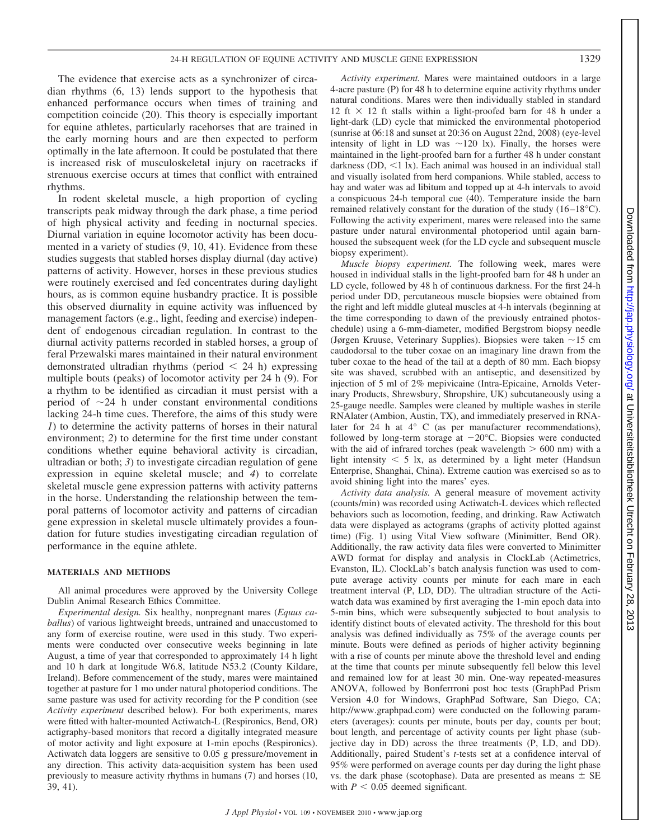The evidence that exercise acts as a synchronizer of circadian rhythms (6, 13) lends support to the hypothesis that enhanced performance occurs when times of training and competition coincide (20). This theory is especially important for equine athletes, particularly racehorses that are trained in the early morning hours and are then expected to perform optimally in the late afternoon. It could be postulated that there is increased risk of musculoskeletal injury on racetracks if strenuous exercise occurs at times that conflict with entrained rhythms.

In rodent skeletal muscle, a high proportion of cycling transcripts peak midway through the dark phase, a time period of high physical activity and feeding in nocturnal species. Diurnal variation in equine locomotor activity has been documented in a variety of studies (9, 10, 41). Evidence from these studies suggests that stabled horses display diurnal (day active) patterns of activity. However, horses in these previous studies were routinely exercised and fed concentrates during daylight hours, as is common equine husbandry practice. It is possible this observed diurnality in equine activity was influenced by management factors (e.g., light, feeding and exercise) independent of endogenous circadian regulation. In contrast to the diurnal activity patterns recorded in stabled horses, a group of feral Przewalski mares maintained in their natural environment demonstrated ultradian rhythms (period  $\leq$  24 h) expressing multiple bouts (peaks) of locomotor activity per 24 h (9). For a rhythm to be identified as circadian it must persist with a period of  $\sim$ 24 h under constant environmental conditions lacking 24-h time cues. Therefore, the aims of this study were *1*) to determine the activity patterns of horses in their natural environment; *2*) to determine for the first time under constant conditions whether equine behavioral activity is circadian, ultradian or both; *3*) to investigate circadian regulation of gene expression in equine skeletal muscle; and *4*) to correlate skeletal muscle gene expression patterns with activity patterns in the horse. Understanding the relationship between the temporal patterns of locomotor activity and patterns of circadian gene expression in skeletal muscle ultimately provides a foundation for future studies investigating circadian regulation of performance in the equine athlete.

#### **MATERIALS AND METHODS**

All animal procedures were approved by the University College Dublin Animal Research Ethics Committee.

*Experimental design.* Six healthy, nonpregnant mares (*Equus caballus*) of various lightweight breeds, untrained and unaccustomed to any form of exercise routine, were used in this study. Two experiments were conducted over consecutive weeks beginning in late August, a time of year that corresponded to approximately 14 h light and 10 h dark at longitude W6.8, latitude N53.2 (County Kildare, Ireland). Before commencement of the study, mares were maintained together at pasture for 1 mo under natural photoperiod conditions. The same pasture was used for activity recording for the P condition (see *Activity experiment* described below). For both experiments, mares were fitted with halter-mounted Actiwatch-L (Respironics, Bend, OR) actigraphy-based monitors that record a digitally integrated measure of motor activity and light exposure at 1-min epochs (Respironics). Actiwatch data loggers are sensitive to 0.05 g pressure/movement in any direction. This activity data-acquisition system has been used previously to measure activity rhythms in humans (7) and horses (10, 39, 41).

*Activity experiment.* Mares were maintained outdoors in a large 4-acre pasture (P) for 48 h to determine equine activity rhythms under natural conditions. Mares were then individually stabled in standard 12 ft  $\times$  12 ft stalls within a light-proofed barn for 48 h under a light-dark (LD) cycle that mimicked the environmental photoperiod (sunrise at 06:18 and sunset at 20:36 on August 22nd, 2008) (eye-level intensity of light in LD was  $\sim$ 120 lx). Finally, the horses were maintained in the light-proofed barn for a further 48 h under constant darkness (DD,  $\leq 1$  lx). Each animal was housed in an individual stall and visually isolated from herd companions. While stabled, access to hay and water was ad libitum and topped up at 4-h intervals to avoid a conspicuous 24-h temporal cue (40). Temperature inside the barn remained relatively constant for the duration of the study (16 –18°C). Following the activity experiment, mares were released into the same pasture under natural environmental photoperiod until again barnhoused the subsequent week (for the LD cycle and subsequent muscle biopsy experiment).

*Muscle biopsy experiment.* The following week, mares were housed in individual stalls in the light-proofed barn for 48 h under an LD cycle, followed by 48 h of continuous darkness. For the first 24-h period under DD, percutaneous muscle biopsies were obtained from the right and left middle gluteal muscles at 4-h intervals (beginning at the time corresponding to dawn of the previously entrained photoschedule) using a 6-mm-diameter, modified Bergstrom biopsy needle (Jørgen Kruuse, Veterinary Supplies). Biopsies were taken  $\sim$ 15 cm caudodorsal to the tuber coxae on an imaginary line drawn from the tuber coxae to the head of the tail at a depth of 80 mm. Each biopsy site was shaved, scrubbed with an antiseptic, and desensitized by injection of 5 ml of 2% mepivicaine (Intra-Epicaine, Arnolds Veterinary Products, Shrewsbury, Shropshire, UK) subcutaneously using a 25-gauge needle. Samples were cleaned by multiple washes in sterile RNAlater (Ambion, Austin, TX), and immediately preserved in RNAlater for 24 h at 4° C (as per manufacturer recommendations), followed by long-term storage at  $-20^{\circ}$ C. Biopsies were conducted with the aid of infrared torches (peak wavelength  $> 600$  nm) with a light intensity  $\leq 5$  lx, as determined by a light meter (Handsun Enterprise, Shanghai, China). Extreme caution was exercised so as to avoid shining light into the mares' eyes.

*Activity data analysis.* A general measure of movement activity (counts/min) was recorded using Actiwatch-L devices which reflected behaviors such as locomotion, feeding, and drinking. Raw Actiwatch data were displayed as actograms (graphs of activity plotted against time) (Fig. 1) using Vital View software (Minimitter, Bend OR). Additionally, the raw activity data files were converted to Minimitter AWD format for display and analysis in ClockLab (Actimetrics, Evanston, IL). ClockLab's batch analysis function was used to compute average activity counts per minute for each mare in each treatment interval (P, LD, DD). The ultradian structure of the Actiwatch data was examined by first averaging the 1-min epoch data into 5-min bins, which were subsequently subjected to bout analysis to identify distinct bouts of elevated activity. The threshold for this bout analysis was defined individually as 75% of the average counts per minute. Bouts were defined as periods of higher activity beginning with a rise of counts per minute above the threshold level and ending at the time that counts per minute subsequently fell below this level and remained low for at least 30 min. One-way repeated-measures ANOVA, followed by Bonferrroni post hoc tests (GraphPad Prism Version 4.0 for Windows, GraphPad Software, San Diego, CA; http://www.graphpad.com) were conducted on the following parameters (averages): counts per minute, bouts per day, counts per bout; bout length, and percentage of activity counts per light phase (subjective day in DD) across the three treatments (P, LD, and DD). Additionally, paired Student's *t*-tests set at a confidence interval of 95% were performed on average counts per day during the light phase vs. the dark phase (scotophase). Data are presented as means  $\pm$  SE with  $P < 0.05$  deemed significant.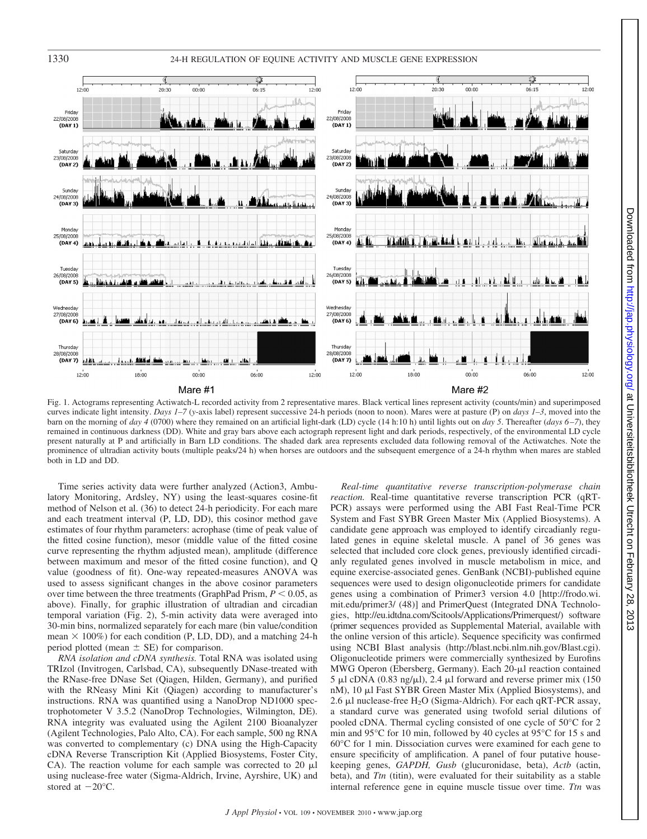



Fig. 1. Actograms representing Actiwatch-L recorded activity from 2 representative mares. Black vertical lines represent activity (counts/min) and superimposed curves indicate light intensity. *Days 1–7* (*y*-axis label) represent successive 24-h periods (noon to noon). Mares were at pasture (P) on *days 1–3*, moved into the barn on the morning of *day 4* (0700) where they remained on an artificial light-dark (LD) cycle (14 h:10 h) until lights out on *day 5*. Thereafter (*days 6 –7*), they remained in continuous darkness (DD). White and gray bars above each actograph represent light and dark periods, respectively, of the environmental LD cycle present naturally at P and artificially in Barn LD conditions. The shaded dark area represents excluded data following removal of the Actiwatches. Note the prominence of ultradian activity bouts (multiple peaks/24 h) when horses are outdoors and the subsequent emergence of a 24-h rhythm when mares are stabled both in LD and DD.

Time series activity data were further analyzed (Action3, Ambulatory Monitoring, Ardsley, NY) using the least-squares cosine-fit method of Nelson et al. (36) to detect 24-h periodicity. For each mare and each treatment interval (P, LD, DD), this cosinor method gave estimates of four rhythm parameters: acrophase (time of peak value of the fitted cosine function), mesor (middle value of the fitted cosine curve representing the rhythm adjusted mean), amplitude (difference between maximum and mesor of the fitted cosine function), and Q value (goodness of fit). One-way repeated-measures ANOVA was used to assess significant changes in the above cosinor parameters over time between the three treatments (GraphPad Prism,  $P < 0.05$ , as above). Finally, for graphic illustration of ultradian and circadian temporal variation (Fig. 2), 5-min activity data were averaged into 30-min bins, normalized separately for each mare (bin value/condition mean  $\times$  100%) for each condition (P, LD, DD), and a matching 24-h period plotted (mean  $\pm$  SE) for comparison.

*RNA isolation and cDNA synthesis.* Total RNA was isolated using TRIzol (Invitrogen, Carlsbad, CA), subsequently DNase-treated with the RNase-free DNase Set (Qiagen, Hilden, Germany), and purified with the RNeasy Mini Kit (Qiagen) according to manufacturer's instructions. RNA was quantified using a NanoDrop ND1000 spectrophotometer V 3.5.2 (NanoDrop Technologies, Wilmington, DE). RNA integrity was evaluated using the Agilent 2100 Bioanalyzer (Agilent Technologies, Palo Alto, CA). For each sample, 500 ng RNA was converted to complementary (c) DNA using the High-Capacity cDNA Reverse Transcription Kit (Applied Biosystems, Foster City, CA). The reaction volume for each sample was corrected to 20  $\mu$ l using nuclease-free water (Sigma-Aldrich, Irvine, Ayrshire, UK) and stored at  $-20^{\circ}$ C.

*Real-time quantitative reverse transcription-polymerase chain reaction.* Real-time quantitative reverse transcription PCR (qRT-PCR) assays were performed using the ABI Fast Real-Time PCR System and Fast SYBR Green Master Mix (Applied Biosystems). A candidate gene approach was employed to identify circadianly regulated genes in equine skeletal muscle. A panel of 36 genes was selected that included core clock genes, previously identified circadianly regulated genes involved in muscle metabolism in mice, and equine exercise-associated genes. GenBank (NCBI)-published equine sequences were used to design oligonucleotide primers for candidate genes using a combination of Primer3 version 4.0 [http://frodo.wi. mit.edu/primer3/ (48)] and PrimerQuest (Integrated DNA Technologies, http://eu.idtdna.com/Scitools/Applications/Primerquest/) software (primer sequences provided as Supplemental Material, available with the online version of this article). Sequence specificity was confirmed using NCBI Blast analysis (http://blast.ncbi.nlm.nih.gov/Blast.cgi). Oligonucleotide primers were commercially synthesized by Eurofins MWG Operon (Ebersberg, Germany). Each 20-µl reaction contained  $5 \mu$ l cDNA (0.83 ng/ $\mu$ l), 2.4  $\mu$ l forward and reverse primer mix (150 nM), 10 µl Fast SYBR Green Master Mix (Applied Biosystems), and 2.6  $\mu$ l nuclease-free H<sub>2</sub>O (Sigma-Aldrich). For each qRT-PCR assay, a standard curve was generated using twofold serial dilutions of pooled cDNA. Thermal cycling consisted of one cycle of 50°C for 2 min and 95°C for 10 min, followed by 40 cycles at 95°C for 15 s and 60°C for 1 min. Dissociation curves were examined for each gene to ensure specificity of amplification. A panel of four putative housekeeping genes, *GAPDH, Gusb* (glucuronidase, beta), *Actb* (actin, beta), and *Ttn* (titin), were evaluated for their suitability as a stable internal reference gene in equine muscle tissue over time. *Ttn* was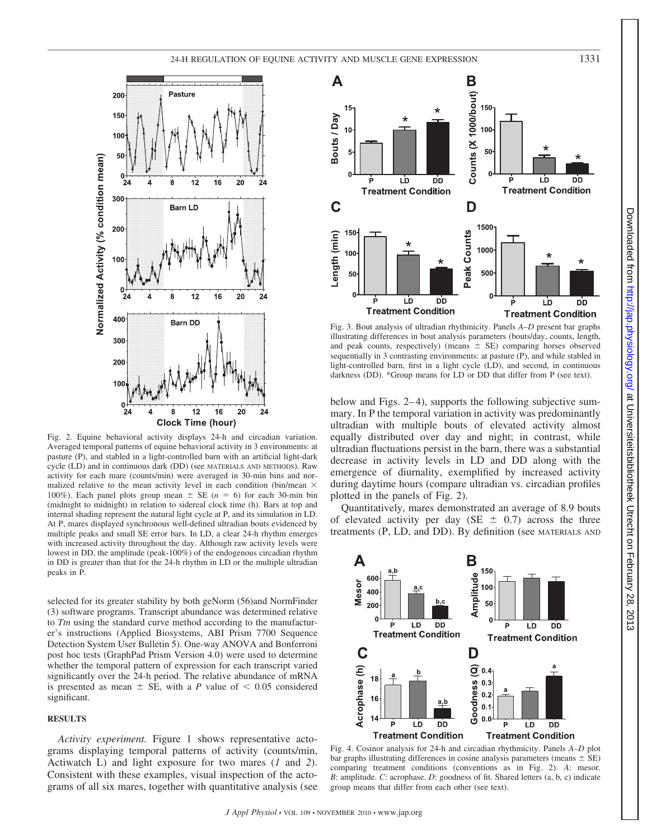

Fig. 2. Equine behavioral activity displays 24-h and circadian variation. Averaged temporal patterns of equine behavioral activity in 3 environments: at pasture (P), and stabled in a light-controlled barn with an artificial light-dark cycle (LD) and in continuous dark (DD) (see MATERIALS AND METHODS). Raw activity for each mare (counts/min) were averaged in 30-min bins and normalized relative to the mean activity level in each condition (bin/mean  $\times$ 100%). Each panel plots group mean  $\pm$  SE ( $n = 6$ ) for each 30-min bin (midnight to midnight) in relation to sidereal clock time (h). Bars at top and internal shading represent the natural light cycle at P, and its simulation in LD. At P, mares displayed synchronous well-defined ultradian bouts evidenced by multiple peaks and small SE error bars. In LD, a clear 24-h rhythm emerges with increased activity throughout the day. Although raw activity levels were lowest in DD, the amplitude (peak-100%) of the endogenous circadian rhythm in DD is greater than that for the 24-h rhythm in LD or the multiple ultradian peaks in P.

selected for its greater stability by both geNorm (56)and NormFinder (3) software programs. Transcript abundance was determined relative to *Ttn* using the standard curve method according to the manufacturer's instructions (Applied Biosystems, ABI Prism 7700 Sequence Detection System User Bulletin 5). One-way ANOVA and Bonferroni post hoc tests (GraphPad Prism Version 4.0) were used to determine whether the temporal pattern of expression for each transcript varied significantly over the 24-h period. The relative abundance of mRNA is presented as mean  $\pm$  SE, with a *P* value of  $\leq 0.05$  considered significant.

### **RESULTS**

*Activity experiment.* Figure 1 shows representative actograms displaying temporal patterns of activity (counts/min, Actiwatch L) and light exposure for two mares (*1* and *2*). Consistent with these examples, visual inspection of the actograms of all six mares, together with quantitative analysis (see



Fig. 3. Bout analysis of ultradian rhythmicity. Panels *A–D* present bar graphs illustrating differences in bout analysis parameters (bouts/day, counts, length, and peak counts, respectively) (means  $\pm$  SE) comparing horses observed sequentially in 3 contrasting environments: at pasture (P), and while stabled in light-controlled barn, first in a light cycle (LD), and second, in continuous darkness (DD). \*Group means for LD or DD that differ from P (see text).

below and Figs. 2–4), supports the following subjective summary. In P the temporal variation in activity was predominantly ultradian with multiple bouts of elevated activity almost equally distributed over day and night; in contrast, while ultradian fluctuations persist in the barn, there was a substantial decrease in activity levels in LD and DD along with the emergence of diurnality, exemplified by increased activity during daytime hours (compare ultradian vs. circadian profiles plotted in the panels of Fig. 2).

Quantitatively, mares demonstrated an average of 8.9 bouts of elevated activity per day (SE  $\pm$  0.7) across the three treatments (P, LD, and DD). By definition (see MATERIALS AND



Fig. 4. Cosinor analysis for 24-h and circadian rhythmicity. Panels *A–D* plot bar graphs illustrating differences in cosine analysis parameters (means  $\pm$  SE) comparing treatment conditions (conventions as in Fig. 2). *A*: mesor. *B*: amplitude. *C*: acrophase. *D*: goodness of fit. Shared letters (a, b, c) indicate group means that differ from each other (see text).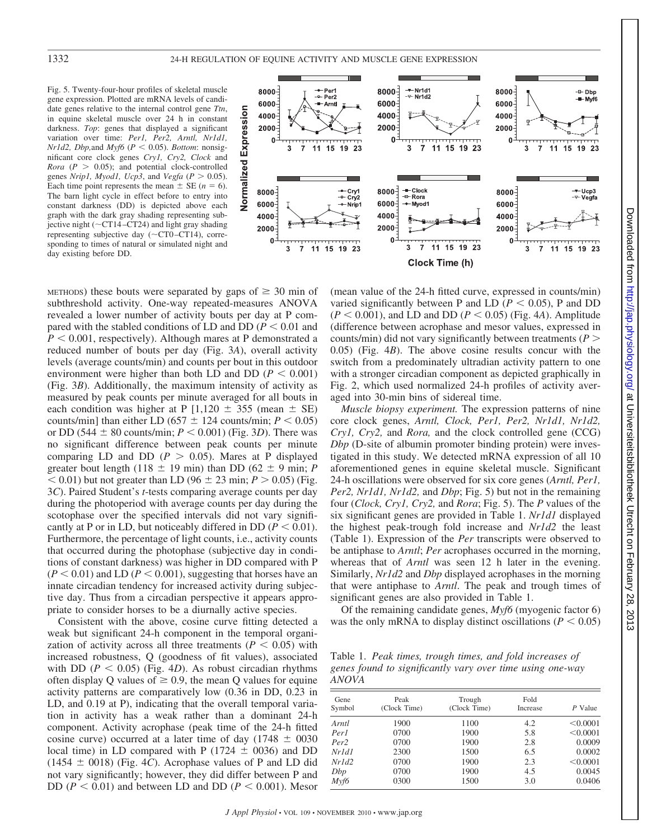## 1332 24-H REGULATION OF EQUINE ACTIVITY AND MUSCLE GENE EXPRESSION

Fig. 5. Twenty-four-hour profiles of skeletal muscle gene expression. Plotted are mRNA levels of candidate genes relative to the internal control gene *Ttn*, in equine skeletal muscle over 24 h in constant darkness. *Top*: genes that displayed a significant variation over time: *Per1, Per2, Arntl, Nr1d1,*  $Nr1d2$ ,  $Dbp$ , and  $Myf6$  ( $P < 0.05$ ). *Bottom*: nonsignificant core clock genes *Cry1, Cry2, Clock* and *Rora* ( $P > 0.05$ ); and potential clock-controlled genes *Nrip1*, *Myod1*, *Ucp3*, and *Vegfa* ( $P > 0.05$ ). Each time point represents the mean  $\pm$  SE ( $n = 6$ ). The barn light cycle in effect before to entry into constant darkness (DD) is depicted above each graph with the dark gray shading representing subjective night ( $\sim$ CT14-CT24) and light gray shading representing subjective day  $(\sim$ CT0-CT14), corresponding to times of natural or simulated night and day existing before DD.



METHODS) these bouts were separated by gaps of  $\geq 30$  min of subthreshold activity. One-way repeated-measures ANOVA revealed a lower number of activity bouts per day at P compared with the stabled conditions of LD and DD  $(P < 0.01$  and  $P < 0.001$ , respectively). Although mares at P demonstrated a reduced number of bouts per day (Fig. 3*A*), overall activity levels (average counts/min) and counts per bout in this outdoor environment were higher than both LD and DD ( $P < 0.001$ ) (Fig. 3*B*). Additionally, the maximum intensity of activity as measured by peak counts per minute averaged for all bouts in each condition was higher at P  $[1,120 \pm 355$  (mean  $\pm$  SE) counts/min] than either LD ( $657 \pm 124$  counts/min;  $P < 0.05$ ) or DD (544  $\pm$  80 counts/min;  $P < 0.001$ ) (Fig. 3D). There was no significant difference between peak counts per minute comparing LD and DD ( $P > 0.05$ ). Mares at P displayed greater bout length (118  $\pm$  19 min) than DD (62  $\pm$  9 min; *P*  $<$  0.01) but not greater than LD (96  $\pm$  23 min; *P* > 0.05) (Fig. 3*C*). Paired Student's *t*-tests comparing average counts per day during the photoperiod with average counts per day during the scotophase over the specified intervals did not vary significantly at P or in LD, but noticeably differed in DD ( $P < 0.01$ ). Furthermore, the percentage of light counts, i.e., activity counts that occurred during the photophase (subjective day in conditions of constant darkness) was higher in DD compared with P  $(P < 0.01)$  and LD  $(P < 0.001)$ , suggesting that horses have an innate circadian tendency for increased activity during subjective day. Thus from a circadian perspective it appears appropriate to consider horses to be a diurnally active species.

Consistent with the above, cosine curve fitting detected a weak but significant 24-h component in the temporal organization of activity across all three treatments ( $P < 0.05$ ) with increased robustness, Q (goodness of fit values), associated with DD ( $P < 0.05$ ) (Fig. 4*D*). As robust circadian rhythms often display Q values of  $\geq 0.9$ , the mean Q values for equine activity patterns are comparatively low (0.36 in DD, 0.23 in LD, and 0.19 at P), indicating that the overall temporal variation in activity has a weak rather than a dominant 24-h component. Activity acrophase (peak time of the 24-h fitted cosine curve) occurred at a later time of day (1748  $\pm$  0030 local time) in LD compared with P (1724  $\pm$  0036) and DD  $(1454 \pm 0018)$  (Fig. 4*C*). Acrophase values of P and LD did not vary significantly; however, they did differ between P and DD ( $P < 0.01$ ) and between LD and DD ( $P < 0.001$ ). Mesor

(mean value of the 24-h fitted curve, expressed in counts/min) varied significantly between P and LD ( $P < 0.05$ ), P and DD  $(P < 0.001)$ , and LD and DD  $(P < 0.05)$  (Fig. 4*A*). Amplitude (difference between acrophase and mesor values, expressed in counts/min) did not vary significantly between treatments (*P* 0.05) (Fig. 4*B*). The above cosine results concur with the switch from a predominately ultradian activity pattern to one with a stronger circadian component as depicted graphically in Fig. 2, which used normalized 24-h profiles of activity averaged into 30-min bins of sidereal time.

*Muscle biopsy experiment.* The expression patterns of nine core clock genes, *Arntl, Clock, Per1, Per2, Nr1d1, Nr1d2, Cry1, Cry2,* and *Rora,* and the clock controlled gene (CCG) *Dbp* (D-site of albumin promoter binding protein) were investigated in this study. We detected mRNA expression of all 10 aforementioned genes in equine skeletal muscle. Significant 24-h oscillations were observed for six core genes (*Arntl, Per1, Per2, Nr1d1, Nr1d2,* and *Dbp*; Fig. 5) but not in the remaining four (*Clock, Cry1, Cry2,* and *Rora*; Fig. 5). The *P* values of the six significant genes are provided in Table 1. *Nr1d1* displayed the highest peak-trough fold increase and *Nr1d2* the least (Table 1). Expression of the *Per* transcripts were observed to be antiphase to *Arntl*; *Per* acrophases occurred in the morning, whereas that of *Arntl* was seen 12 h later in the evening. Similarly, *Nr1d2* and *Dbp* displayed acrophases in the morning that were antiphase to *Arntl*. The peak and trough times of significant genes are also provided in Table 1.

Of the remaining candidate genes, *Myf6* (myogenic factor 6) was the only mRNA to display distinct oscillations ( $P < 0.05$ )

Table 1. *Peak times, trough times, and fold increases of genes found to significantly vary over time using one-way ANOVA*

| Gene<br>Symbol   | Peak<br>(Clock Time) | Trough<br>(Clock Time) | Fold<br>Increase | P Value  |  |
|------------------|----------------------|------------------------|------------------|----------|--|
| Arntl            | 1900                 | 1100                   | 4.2              | < 0.0001 |  |
| Perl             | 0700                 | 1900                   | 5.8              | < 0.0001 |  |
| Per <sub>2</sub> | 0700                 | 1900                   | 2.8              | 0.0009   |  |
| Nr1d1            | 2300                 | 1500                   | 6.5              | 0.0002   |  |
| Nr1d2            | 0700                 | 1900                   | 2.3              | < 0.0001 |  |
| Dbp              | 0700                 | 1900                   | 4.5              | 0.0045   |  |
| Myf6             | 0300                 | 1500                   | 3.0              | 0.0406   |  |
|                  |                      |                        |                  |          |  |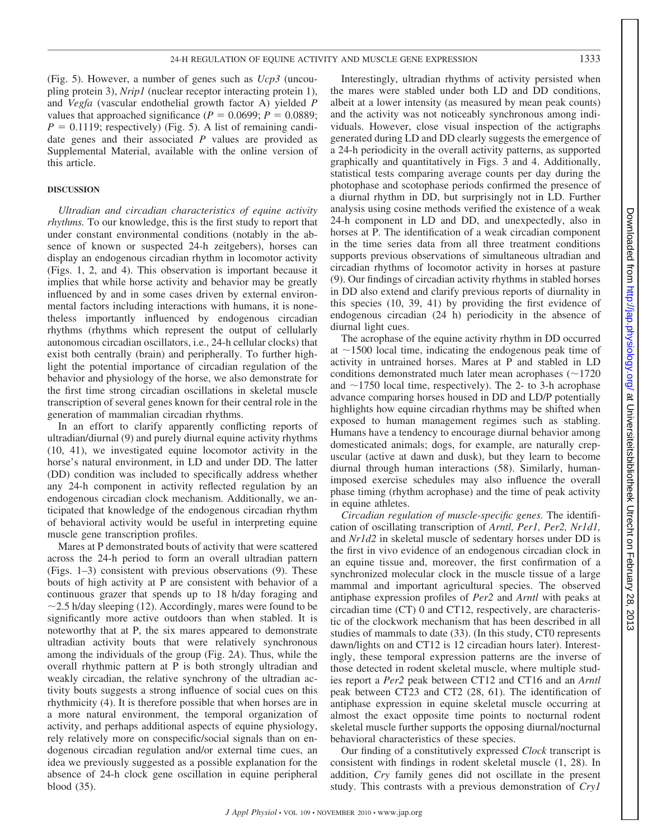(Fig. 5). However, a number of genes such as *Ucp3* (uncoupling protein 3), *Nrip1* (nuclear receptor interacting protein 1), and *Vegfa* (vascular endothelial growth factor A) yielded *P* values that approached significance ( $P = 0.0699$ ;  $P = 0.0889$ ;  $P = 0.1119$ ; respectively) (Fig. 5). A list of remaining candidate genes and their associated *P* values are provided as Supplemental Material, available with the online version of this article.

#### **DISCUSSION**

*Ultradian and circadian characteristics of equine activity rhythms.* To our knowledge, this is the first study to report that under constant environmental conditions (notably in the absence of known or suspected 24-h zeitgebers), horses can display an endogenous circadian rhythm in locomotor activity (Figs. 1, 2, and 4). This observation is important because it implies that while horse activity and behavior may be greatly influenced by and in some cases driven by external environmental factors including interactions with humans, it is nonetheless importantly influenced by endogenous circadian rhythms (rhythms which represent the output of cellularly autonomous circadian oscillators, i.e., 24-h cellular clocks) that exist both centrally (brain) and peripherally. To further highlight the potential importance of circadian regulation of the behavior and physiology of the horse, we also demonstrate for the first time strong circadian oscillations in skeletal muscle transcription of several genes known for their central role in the generation of mammalian circadian rhythms.

In an effort to clarify apparently conflicting reports of ultradian/diurnal (9) and purely diurnal equine activity rhythms (10, 41), we investigated equine locomotor activity in the horse's natural environment, in LD and under DD. The latter (DD) condition was included to specifically address whether any 24-h component in activity reflected regulation by an endogenous circadian clock mechanism. Additionally, we anticipated that knowledge of the endogenous circadian rhythm of behavioral activity would be useful in interpreting equine muscle gene transcription profiles.

Mares at P demonstrated bouts of activity that were scattered across the 24-h period to form an overall ultradian pattern (Figs. 1–3) consistent with previous observations (9). These bouts of high activity at P are consistent with behavior of a continuous grazer that spends up to 18 h/day foraging and  $\sim$ 2.5 h/day sleeping (12). Accordingly, mares were found to be significantly more active outdoors than when stabled. It is noteworthy that at P, the six mares appeared to demonstrate ultradian activity bouts that were relatively synchronous among the individuals of the group (Fig. 2*A*). Thus, while the overall rhythmic pattern at P is both strongly ultradian and weakly circadian, the relative synchrony of the ultradian activity bouts suggests a strong influence of social cues on this rhythmicity (4). It is therefore possible that when horses are in a more natural environment, the temporal organization of activity, and perhaps additional aspects of equine physiology, rely relatively more on conspecific/social signals than on endogenous circadian regulation and/or external time cues, an idea we previously suggested as a possible explanation for the absence of 24-h clock gene oscillation in equine peripheral blood (35).

Interestingly, ultradian rhythms of activity persisted when the mares were stabled under both LD and DD conditions, albeit at a lower intensity (as measured by mean peak counts) and the activity was not noticeably synchronous among individuals. However, close visual inspection of the actigraphs generated during LD and DD clearly suggests the emergence of a 24-h periodicity in the overall activity patterns, as supported graphically and quantitatively in Figs. 3 and 4. Additionally, statistical tests comparing average counts per day during the photophase and scotophase periods confirmed the presence of a diurnal rhythm in DD, but surprisingly not in LD. Further analysis using cosine methods verified the existence of a weak 24-h component in LD and DD, and unexpectedly, also in horses at P. The identification of a weak circadian component in the time series data from all three treatment conditions supports previous observations of simultaneous ultradian and circadian rhythms of locomotor activity in horses at pasture (9). Our findings of circadian activity rhythms in stabled horses in DD also extend and clarify previous reports of diurnality in this species (10, 39, 41) by providing the first evidence of endogenous circadian (24 h) periodicity in the absence of diurnal light cues.

The acrophase of the equine activity rhythm in DD occurred at  $\sim$ 1500 local time, indicating the endogenous peak time of activity in untrained horses. Mares at P and stabled in LD conditions demonstrated much later mean acrophases  $(\sim 1720$ and  $\sim$ 1750 local time, respectively). The 2- to 3-h acrophase advance comparing horses housed in DD and LD/P potentially highlights how equine circadian rhythms may be shifted when exposed to human management regimes such as stabling. Humans have a tendency to encourage diurnal behavior among domesticated animals; dogs, for example, are naturally crepuscular (active at dawn and dusk), but they learn to become diurnal through human interactions (58). Similarly, humanimposed exercise schedules may also influence the overall phase timing (rhythm acrophase) and the time of peak activity in equine athletes.

*Circadian regulation of muscle-specific genes.* The identification of oscillating transcription of *Arntl, Per1, Per2, Nr1d1,* and *Nr1d2* in skeletal muscle of sedentary horses under DD is the first in vivo evidence of an endogenous circadian clock in an equine tissue and, moreover, the first confirmation of a synchronized molecular clock in the muscle tissue of a large mammal and important agricultural species. The observed antiphase expression profiles of *Per2* and *Arntl* with peaks at circadian time (CT) 0 and CT12, respectively, are characteristic of the clockwork mechanism that has been described in all studies of mammals to date (33). (In this study, CT0 represents dawn/lights on and CT12 is 12 circadian hours later). Interestingly, these temporal expression patterns are the inverse of those detected in rodent skeletal muscle, where multiple studies report a *Per2* peak between CT12 and CT16 and an *Arntl* peak between CT23 and CT2 (28, 61). The identification of antiphase expression in equine skeletal muscle occurring at almost the exact opposite time points to nocturnal rodent skeletal muscle further supports the opposing diurnal/nocturnal behavioral characteristics of these species.

Our finding of a constitutively expressed *Clock* transcript is consistent with findings in rodent skeletal muscle (1, 28). In addition, *Cry* family genes did not oscillate in the present study. This contrasts with a previous demonstration of *Cry1*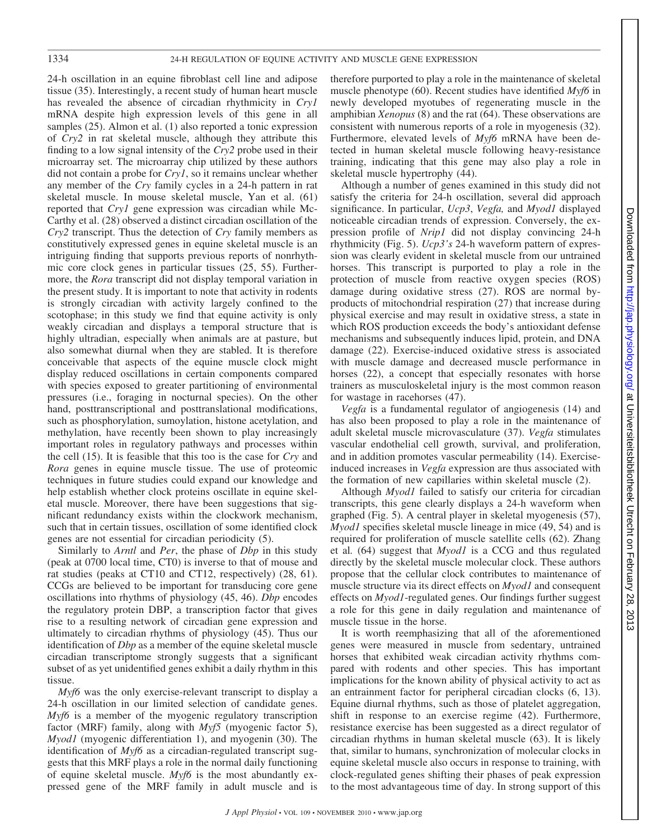24-h oscillation in an equine fibroblast cell line and adipose tissue (35). Interestingly, a recent study of human heart muscle has revealed the absence of circadian rhythmicity in *Cry1* mRNA despite high expression levels of this gene in all samples (25). Almon et al. (1) also reported a tonic expression of *Cry2* in rat skeletal muscle, although they attribute this finding to a low signal intensity of the *Cry2* probe used in their microarray set. The microarray chip utilized by these authors did not contain a probe for *Cry1*, so it remains unclear whether any member of the *Cry* family cycles in a 24-h pattern in rat skeletal muscle. In mouse skeletal muscle, Yan et al. (61) reported that *Cry1* gene expression was circadian while Mc-Carthy et al. (28) observed a distinct circadian oscillation of the *Cry2* transcript. Thus the detection of *Cry* family members as constitutively expressed genes in equine skeletal muscle is an intriguing finding that supports previous reports of nonrhythmic core clock genes in particular tissues (25, 55). Furthermore, the *Rora* transcript did not display temporal variation in the present study. It is important to note that activity in rodents is strongly circadian with activity largely confined to the scotophase; in this study we find that equine activity is only weakly circadian and displays a temporal structure that is highly ultradian, especially when animals are at pasture, but also somewhat diurnal when they are stabled. It is therefore conceivable that aspects of the equine muscle clock might display reduced oscillations in certain components compared with species exposed to greater partitioning of environmental pressures (i.e., foraging in nocturnal species). On the other hand, posttranscriptional and posttranslational modifications, such as phosphorylation, sumoylation, histone acetylation, and methylation, have recently been shown to play increasingly important roles in regulatory pathways and processes within the cell (15). It is feasible that this too is the case for *Cry* and *Rora* genes in equine muscle tissue. The use of proteomic techniques in future studies could expand our knowledge and help establish whether clock proteins oscillate in equine skeletal muscle. Moreover, there have been suggestions that significant redundancy exists within the clockwork mechanism, such that in certain tissues, oscillation of some identified clock genes are not essential for circadian periodicity (5).

Similarly to *Arntl* and *Per*, the phase of *Dbp* in this study (peak at 0700 local time, CT0) is inverse to that of mouse and rat studies (peaks at CT10 and CT12, respectively) (28, 61). CCGs are believed to be important for transducing core gene oscillations into rhythms of physiology (45, 46). *Dbp* encodes the regulatory protein DBP, a transcription factor that gives rise to a resulting network of circadian gene expression and ultimately to circadian rhythms of physiology (45). Thus our identification of *Dbp* as a member of the equine skeletal muscle circadian transcriptome strongly suggests that a significant subset of as yet unidentified genes exhibit a daily rhythm in this tissue.

*Myf6* was the only exercise-relevant transcript to display a 24-h oscillation in our limited selection of candidate genes. *Myf6* is a member of the myogenic regulatory transcription factor (MRF) family, along with *Myf5* (myogenic factor 5), *Myod1* (myogenic differentiation 1), and myogenin (30). The identification of *Myf6* as a circadian-regulated transcript suggests that this MRF plays a role in the normal daily functioning of equine skeletal muscle. *Myf6* is the most abundantly expressed gene of the MRF family in adult muscle and is therefore purported to play a role in the maintenance of skeletal muscle phenotype (60). Recent studies have identified *Myf6* in newly developed myotubes of regenerating muscle in the amphibian *Xenopus* (8) and the rat (64). These observations are consistent with numerous reports of a role in myogenesis (32). Furthermore, elevated levels of *Myf6* mRNA have been detected in human skeletal muscle following heavy-resistance training, indicating that this gene may also play a role in skeletal muscle hypertrophy (44).

Although a number of genes examined in this study did not satisfy the criteria for 24-h oscillation, several did approach significance. In particular, *Ucp3*, *Vegfa,* and *Myod1* displayed noticeable circadian trends of expression. Conversely, the expression profile of *Nrip1* did not display convincing 24-h rhythmicity (Fig. 5). *Ucp3's* 24-h waveform pattern of expression was clearly evident in skeletal muscle from our untrained horses. This transcript is purported to play a role in the protection of muscle from reactive oxygen species (ROS) damage during oxidative stress (27). ROS are normal byproducts of mitochondrial respiration (27) that increase during physical exercise and may result in oxidative stress, a state in which ROS production exceeds the body's antioxidant defense mechanisms and subsequently induces lipid, protein, and DNA damage (22). Exercise-induced oxidative stress is associated with muscle damage and decreased muscle performance in horses (22), a concept that especially resonates with horse trainers as musculoskeletal injury is the most common reason for wastage in racehorses (47).

*Vegfa* is a fundamental regulator of angiogenesis (14) and has also been proposed to play a role in the maintenance of adult skeletal muscle microvasculature (37). *Vegfa* stimulates vascular endothelial cell growth, survival, and proliferation, and in addition promotes vascular permeability (14). Exerciseinduced increases in *Vegfa* expression are thus associated with the formation of new capillaries within skeletal muscle (2).

Although *Myod1* failed to satisfy our criteria for circadian transcripts, this gene clearly displays a 24-h waveform when graphed (Fig. 5). A central player in skeletal myogenesis (57), *Myod1* specifies skeletal muscle lineage in mice (49, 54) and is required for proliferation of muscle satellite cells (62). Zhang et al*.* (64) suggest that *Myod1* is a CCG and thus regulated directly by the skeletal muscle molecular clock. These authors propose that the cellular clock contributes to maintenance of muscle structure via its direct effects on *Myod1* and consequent effects on *Myod1*-regulated genes. Our findings further suggest a role for this gene in daily regulation and maintenance of muscle tissue in the horse.

It is worth reemphasizing that all of the aforementioned genes were measured in muscle from sedentary, untrained horses that exhibited weak circadian activity rhythms compared with rodents and other species. This has important implications for the known ability of physical activity to act as an entrainment factor for peripheral circadian clocks (6, 13). Equine diurnal rhythms, such as those of platelet aggregation, shift in response to an exercise regime (42). Furthermore, resistance exercise has been suggested as a direct regulator of circadian rhythms in human skeletal muscle (63). It is likely that, similar to humans, synchronization of molecular clocks in equine skeletal muscle also occurs in response to training, with clock-regulated genes shifting their phases of peak expression to the most advantageous time of day. In strong support of this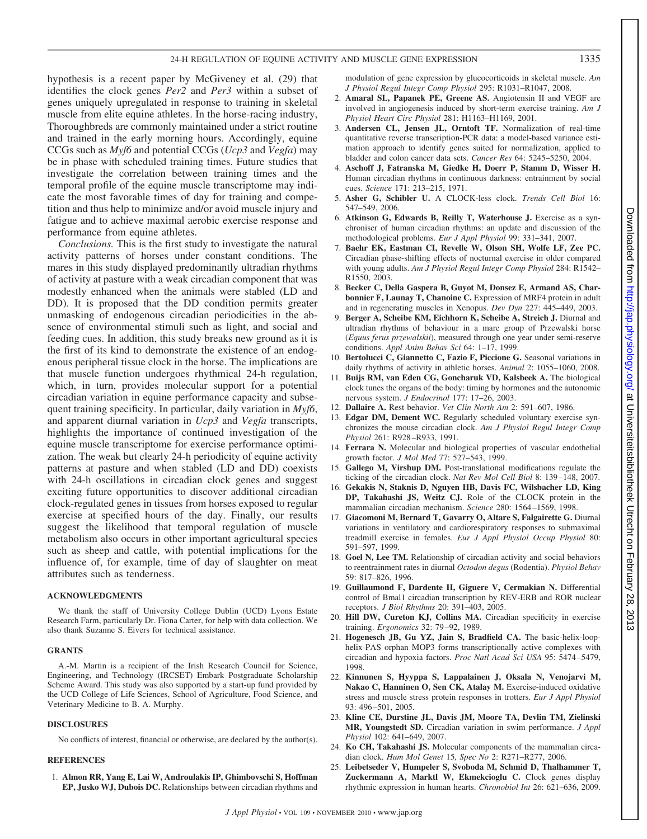hypothesis is a recent paper by McGiveney et al. (29) that identifies the clock genes *Per2* and *Per3* within a subset of genes uniquely upregulated in response to training in skeletal muscle from elite equine athletes. In the horse-racing industry, Thoroughbreds are commonly maintained under a strict routine and trained in the early morning hours. Accordingly, equine CCGs such as *Myf6* and potential CCGs (*Ucp3* and *Vegfa*) may be in phase with scheduled training times. Future studies that investigate the correlation between training times and the temporal profile of the equine muscle transcriptome may indicate the most favorable times of day for training and competition and thus help to minimize and/or avoid muscle injury and fatigue and to achieve maximal aerobic exercise response and performance from equine athletes.

*Conclusions.* This is the first study to investigate the natural activity patterns of horses under constant conditions. The mares in this study displayed predominantly ultradian rhythms of activity at pasture with a weak circadian component that was modestly enhanced when the animals were stabled (LD and DD). It is proposed that the DD condition permits greater unmasking of endogenous circadian periodicities in the absence of environmental stimuli such as light, and social and feeding cues. In addition, this study breaks new ground as it is the first of its kind to demonstrate the existence of an endogenous peripheral tissue clock in the horse. The implications are that muscle function undergoes rhythmical 24-h regulation, which, in turn, provides molecular support for a potential circadian variation in equine performance capacity and subsequent training specificity. In particular, daily variation in *Myf6*, and apparent diurnal variation in *Ucp3* and *Vegfa* transcripts, highlights the importance of continued investigation of the equine muscle transcriptome for exercise performance optimization. The weak but clearly 24-h periodicity of equine activity patterns at pasture and when stabled (LD and DD) coexists with 24-h oscillations in circadian clock genes and suggest exciting future opportunities to discover additional circadian clock-regulated genes in tissues from horses exposed to regular exercise at specified hours of the day. Finally, our results suggest the likelihood that temporal regulation of muscle metabolism also occurs in other important agricultural species such as sheep and cattle, with potential implications for the influence of, for example, time of day of slaughter on meat attributes such as tenderness.

#### **ACKNOWLEDGMENTS**

We thank the staff of University College Dublin (UCD) Lyons Estate Research Farm, particularly Dr. Fiona Carter, for help with data collection. We also thank Suzanne S. Eivers for technical assistance.

#### **GRANTS**

A.-M. Martin is a recipient of the Irish Research Council for Science, Engineering, and Technology (IRCSET) Embark Postgraduate Scholarship Scheme Award. This study was also supported by a start-up fund provided by the UCD College of Life Sciences, School of Agriculture, Food Science, and Veterinary Medicine to B. A. Murphy.

#### **DISCLOSURES**

No conflicts of interest, financial or otherwise, are declared by the author(s).

#### **REFERENCES**

1. **Almon RR, Yang E, Lai W, Androulakis IP, Ghimbovschi S, Hoffman EP, Jusko WJ, Dubois DC.** Relationships between circadian rhythms and modulation of gene expression by glucocorticoids in skeletal muscle. *Am J Physiol Regul Integr Comp Physiol* 295: R1031–R1047, 2008.

- 2. **Amaral SL, Papanek PE, Greene AS.** Angiotensin II and VEGF are involved in angiogenesis induced by short-term exercise training. *Am J Physiol Heart Circ Physiol* 281: H1163–H1169, 2001.
- 3. **Andersen CL, Jensen JL, Orntoft TF.** Normalization of real-time quantitative reverse transcription-PCR data: a model-based variance estimation approach to identify genes suited for normalization, applied to bladder and colon cancer data sets. *Cancer Res* 64: 5245–5250, 2004.
- 4. **Aschoff J, Fatranska M, Giedke H, Doerr P, Stamm D, Wisser H.** Human circadian rhythms in continuous darkness: entrainment by social cues. *Science* 171: 213–215, 1971.
- 5. **Asher G, Schibler U.** A CLOCK-less clock. *Trends Cell Biol* 16: 547–549, 2006.
- 6. **Atkinson G, Edwards B, Reilly T, Waterhouse J.** Exercise as a synchroniser of human circadian rhythms: an update and discussion of the methodological problems. *Eur J Appl Physiol* 99: 331–341, 2007.
- 7. **Baehr EK, Eastman CI, Revelle W, Olson SH, Wolfe LF, Zee PC.** Circadian phase-shifting effects of nocturnal exercise in older compared with young adults. *Am J Physiol Regul Integr Comp Physiol* 284: R1542– R1550, 2003.
- 8. **Becker C, Della Gaspera B, Guyot M, Donsez E, Armand AS, Charbonnier F, Launay T, Chanoine C.** Expression of MRF4 protein in adult and in regenerating muscles in Xenopus. *Dev Dyn* 227: 445–449, 2003.
- 9. **Berger A, Scheibe KM, Eichhorn K, Scheibe A, Streich J.** Diurnal and ultradian rhythms of behaviour in a mare group of Przewalski horse (*Equus ferus przewalskii*), measured through one year under semi-reserve conditions. *Appl Anim Behav Sci* 64: 1–17, 1999.
- 10. **Bertolucci C, Giannetto C, Fazio F, Piccione G.** Seasonal variations in daily rhythms of activity in athletic horses. *Animal* 2: 1055–1060, 2008.
- 11. **Buijs RM, van Eden CG, Goncharuk VD, Kalsbeek A.** The biological clock tunes the organs of the body: timing by hormones and the autonomic nervous system. *J Endocrinol* 177: 17–26, 2003.
- 12. **Dallaire A.** Rest behavior. *Vet Clin North Am* 2: 591–607, 1986.
- 13. **Edgar DM, Dement WC.** Regularly scheduled voluntary exercise synchronizes the mouse circadian clock. *Am J Physiol Regul Integr Comp Physiol* 261: R928 –R933, 1991.
- 14. **Ferrara N.** Molecular and biological properties of vascular endothelial growth factor. *J Mol Med* 77: 527–543, 1999.
- 15. **Gallego M, Virshup DM.** Post-translational modifications regulate the ticking of the circadian clock. *Nat Rev Mol Cell Biol* 8: 139 –148, 2007.
- 16. **Gekakis N, Staknis D, Nguyen HB, Davis FC, Wilsbacher LD, King DP, Takahashi JS, Weitz CJ.** Role of the CLOCK protein in the mammalian circadian mechanism. *Science* 280: 1564 –1569, 1998.
- 17. **Giacomoni M, Bernard T, Gavarry O, Altare S, Falgairette G.** Diurnal variations in ventilatory and cardiorespiratory responses to submaximal treadmill exercise in females. *Eur J Appl Physiol Occup Physiol* 80: 591–597, 1999.
- 18. **Goel N, Lee TM.** Relationship of circadian activity and social behaviors to reentrainment rates in diurnal *Octodon degus* (Rodentia). *Physiol Behav* 59: 817–826, 1996.
- 19. **Guillaumond F, Dardente H, Giguere V, Cermakian N.** Differential control of Bmal1 circadian transcription by REV-ERB and ROR nuclear receptors. *J Biol Rhythms* 20: 391–403, 2005.
- 20. **Hill DW, Cureton KJ, Collins MA.** Circadian specificity in exercise training. *Ergonomics* 32: 79 –92, 1989.
- 21. **Hogenesch JB, Gu YZ, Jain S, Bradfield CA.** The basic-helix-loophelix-PAS orphan MOP3 forms transcriptionally active complexes with circadian and hypoxia factors. *Proc Natl Acad Sci USA* 95: 5474 –5479, 1998.
- 22. **Kinnunen S, Hyyppa S, Lappalainen J, Oksala N, Venojarvi M, Nakao C, Hanninen O, Sen CK, Atalay M.** Exercise-induced oxidative stress and muscle stress protein responses in trotters. *Eur J Appl Physiol* 93: 496 –501, 2005.
- 23. **Kline CE, Durstine JL, Davis JM, Moore TA, Devlin TM, Zielinski MR, Youngstedt SD.** Circadian variation in swim performance. *J Appl Physiol* 102: 641–649, 2007.
- 24. **Ko CH, Takahashi JS.** Molecular components of the mammalian circadian clock. *Hum Mol Genet* 15*, Spec No* 2: R271–R277, 2006.
- 25. **Leibetseder V, Humpeler S, Svoboda M, Schmid D, Thalhammer T, Zuckermann A, Marktl W, Ekmekcioglu C.** Clock genes display rhythmic expression in human hearts. *Chronobiol Int* 26: 621–636, 2009.